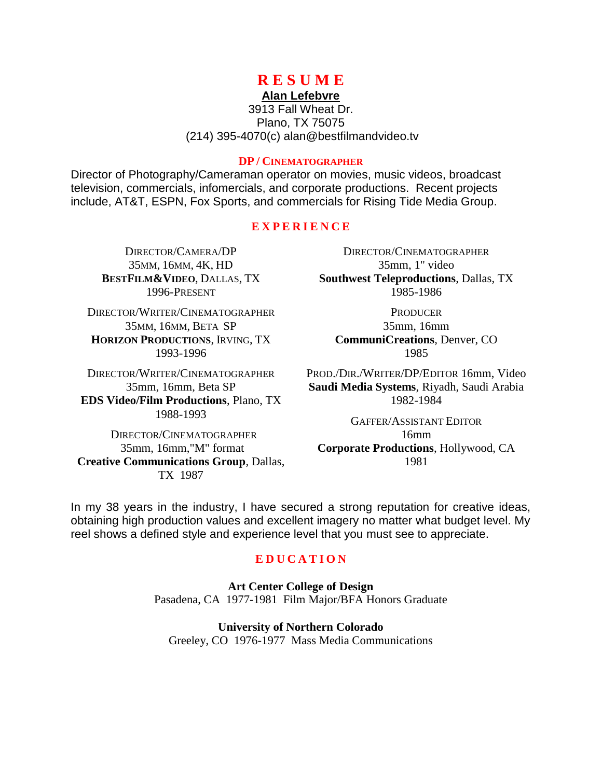# **R E S U M E**

# **Alan Lefebvre**

3913 Fall Wheat Dr. Plano, TX 75075 (214) 395-4070(c) alan@bestfilmandvideo.tv

### **DP / CINEMATOGRAPHER**

Director of Photography/Cameraman operator on movies, music videos, broadcast television, commercials, infomercials, and corporate productions. Recent projects include, AT&T, ESPN, Fox Sports, and commercials for Rising Tide Media Group.

# $E$ *X* $P$ *E**R* **<b>I***E* **N**  $C$ *E*

DIRECTOR/CAMERA/DP 35MM, 16MM, 4K, HD **BESTFILM&VIDEO**, DALLAS, TX 1996-PRESENT

DIRECTOR/WRITER/CINEMATOGRAPHER 35MM, 16MM, BETA SP **HORIZON PRODUCTIONS**, IRVING, TX 1993-1996

DIRECTOR/WRITER/CINEMATOGRAPHER 35mm, 16mm, Beta SP **EDS Video/Film Productions**, Plano, TX 1988-1993

 DIRECTOR/CINEMATOGRAPHER 35mm, 16mm,"M" format **Creative Communications Group**, Dallas, TX 1987

DIRECTOR/CINEMATOGRAPHER 35mm, 1" video **Southwest Teleproductions**, Dallas, TX 1985-1986

**PRODUCER** 35mm, 16mm **CommuniCreations**, Denver, CO 1985

PROD./DIR./WRITER/DP/EDITOR 16mm, Video **Saudi Media Systems**, Riyadh, Saudi Arabia 1982-1984

GAFFER/ASSISTANT EDITOR 16mm **Corporate Productions**, Hollywood, CA 1981

In my 38 years in the industry, I have secured a strong reputation for creative ideas, obtaining high production values and excellent imagery no matter what budget level. My reel shows a defined style and experience level that you must see to appreciate.

# **E D U C A T I O N**

**Art Center College of Design** Pasadena, CA 1977-1981 Film Major/BFA Honors Graduate

**University of Northern Colorado** Greeley, CO 1976-1977 Mass Media Communications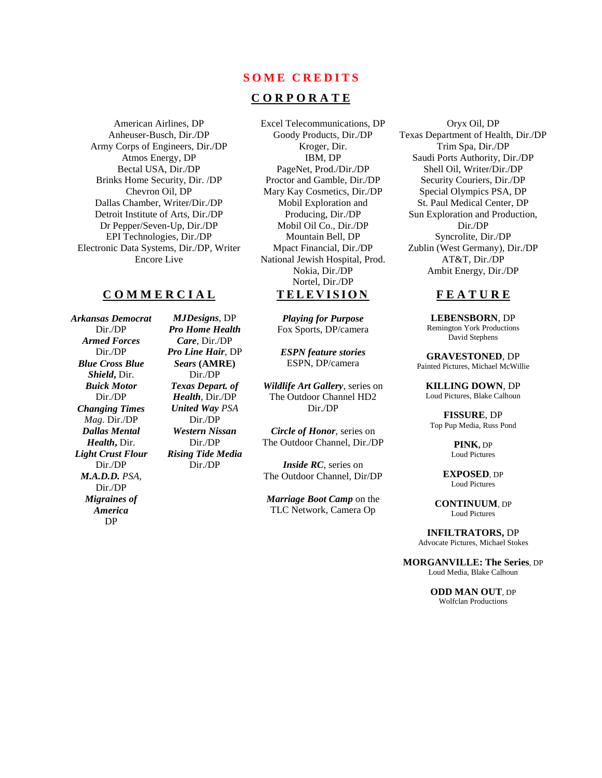## **S O M E C R E D I T S**

#### **C O R P O R A T E**

American Airlines, DP Anheuser-Busch, Dir./DP Army Corps of Engineers, Dir./DP Atmos Energy, DP Bectal USA, Dir./DP Brinks Home Security, Dir. /DP Chevron Oil, DP Dallas Chamber, Writer/Dir./DP Detroit Institute of Arts, Dir./DP Dr Pepper/Seven-Up, Dir./DP EPI Technologies, Dir./DP Electronic Data Systems, Dir./DP, Writer Encore Live

### COMMERCIAL TELEVISION FEATURE

*Arkansas Democrat* Dir./DP *Armed Forces* Dir./DP *Blue Cross Blue Shield***,** Dir. *Buick Motor* Dir./DP *Changing Times Mag*. Dir./DP *Dallas Mental Health***,** Dir. *Light Crust Flour* Dir./DP *M.A.D.D. PSA*, Dir./DP *Migraines of America* DP

*Pro Home Health Care*, Dir./DP *Pro Line Hair*, DP *Sears* **(AMRE)** Dir./DP *Texas Depart. of Health*, Dir./DP *United Way PSA* Dir./DP *Western Nissan* Dir./DP *Rising Tide Media* Dir./DP

*MJDesigns*, DP

Excel Telecommunications, DP Goody Products, Dir./DP Kroger, Dir. IBM, DP PageNet, Prod./Dir./DP Proctor and Gamble, Dir./DP Mary Kay Cosmetics, Dir./DP Mobil Exploration and Producing, Dir./DP Mobil Oil Co., Dir./DP Mountain Bell, DP Mpact Financial, Dir./DP National Jewish Hospital, Prod. Nokia, Dir./DP Nortel, Dir./DP

> *Playing for Purpose* Fox Sports, DP/camera

*ESPN feature stories* ESPN, DP/camera

*Wildlife Art Gallery*, series on The Outdoor Channel HD2 Dir./DP

*Circle of Honor,* series on The Outdoor Channel, Dir./DP

*Inside RC*, series on The Outdoor Channel, Dir/DP

*Marriage Boot Camp* on the TLC Network, Camera Op

Oryx Oil, DP Texas Department of Health, Dir./DP Trim Spa, Dir./DP Saudi Ports Authority, Dir./DP Shell Oil, Writer/Dir./DP Security Couriers, Dir./DP Special Olympics PSA, DP St. Paul Medical Center, DP Sun Exploration and Production, Dir./DP Syncrolite, Dir./DP Zublin (West Germany), Dir./DP AT&T, Dir./DP Ambit Energy, Dir./DP

**LEBENSBORN**, DP Remington York Productions David Stephens

**GRAVESTONED**, DP Painted Pictures, Michael McWillie

**KILLING DOWN**, DP Loud Pictures, Blake Calhoun

**FISSURE**, DP Top Pup Media, Russ Pond

> **PINK,** DP Loud Pictures

**EXPOSED**, DP Loud Pictures

**CONTINUUM**, DP Loud Pictures

**INFILTRATORS,** DP Advocate Pictures, Michael Stokes

**MORGANVILLE: The Series**, DP Loud Media, Blake Calhoun

> **ODD MAN OUT**, DP Wolfclan Productions